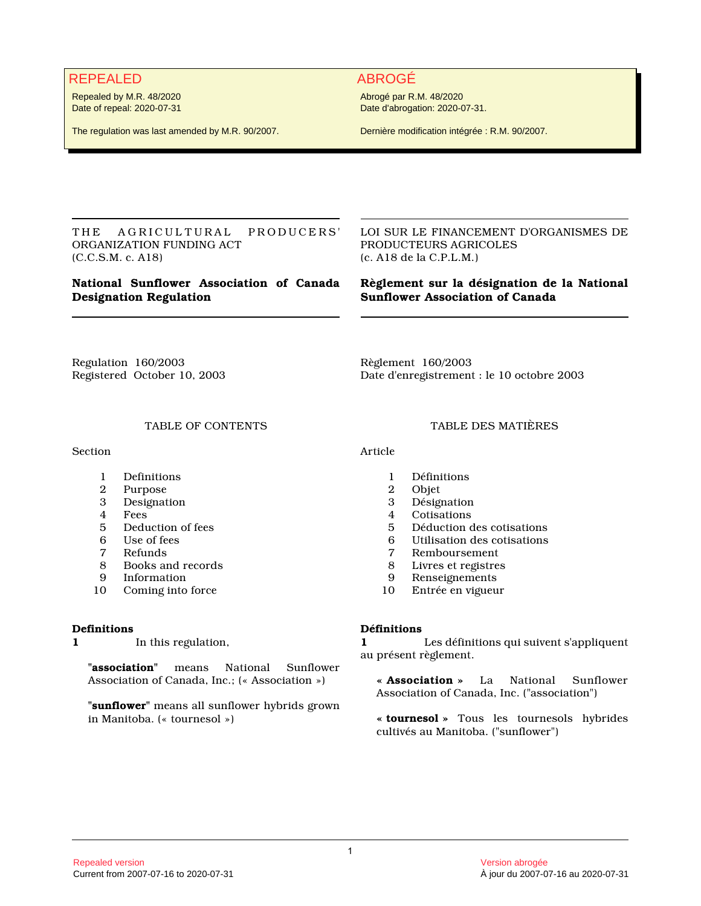# REPEALED ABROGÉ

Repealed by M.R. 48/2020 Date of repeal: 2020-07-31

The regulation was last amended by M.R. 90/2007.

Abrogé par R.M. 48/2020 Date d'abrogation: 2020-07-31.

Dernière modification intégrée : R.M. 90/2007.

THE AGRICULTURAL PRODUCERS' ORGANIZATION FUNDING ACT (C.C.S.M. c. A18)

# **National Sunflower Association of Canada Designation Regulation**

LOI SUR LE FINANCEMENT D'ORGANISMES DE PRODUCTEURS AGRICOLES (c. A18 de la C.P.L.M.)

# **Règlement sur la désignation de la National Sunflower Association of Canada**

Regulation 160/2003 Registered October 10, 2003

Règlement 160/2003 Date d'enregistrement : le 10 octobre 2003

# TABLE OF CONTENTS

**Section** 

- 1 Definitions<br>2 Purpose
- 2 Purpose<br>3 Designat
- **Designation**
- 4 Fees<br>5 Dedu
- 5 Deduction of fees<br>6 Use of fees
- 6 Use of fees<br>7 Refunds
- 7 Refunds
- 8 Books and records<br>9 Information
- **Information**
- 10 Coming into force

# **Definitions**

**1** In this regulation,

**"association"** means National Sunflower Association of Canada, Inc.; (« Association »)

**"sunflower"** means all sunflower hybrids grown in Manitoba. (« tournesol »)

#### TABLE DES MATIÈRES

Article

- 1 Définitions
- 2 Objet
- **Désignation**
- 4 Cotisations<br>5 Déduction d
- 5 Déduction des cotisations
- 6 Utilisation des cotisations
- 7 Remboursement<br>8 Livres et registres
- 8 Livres et registres<br>9 Renseignements
- Renseignements
- 10 Entrée en vigueur

# **Définitions**

**1** Les définitions qui suivent s'appliquent au présent règlement.

**« Association »** La National Sunflower Association of Canada, Inc. ("association")

**« tournesol »** Tous les tournesols hybrides cultivés au Manitoba. ("sunflower")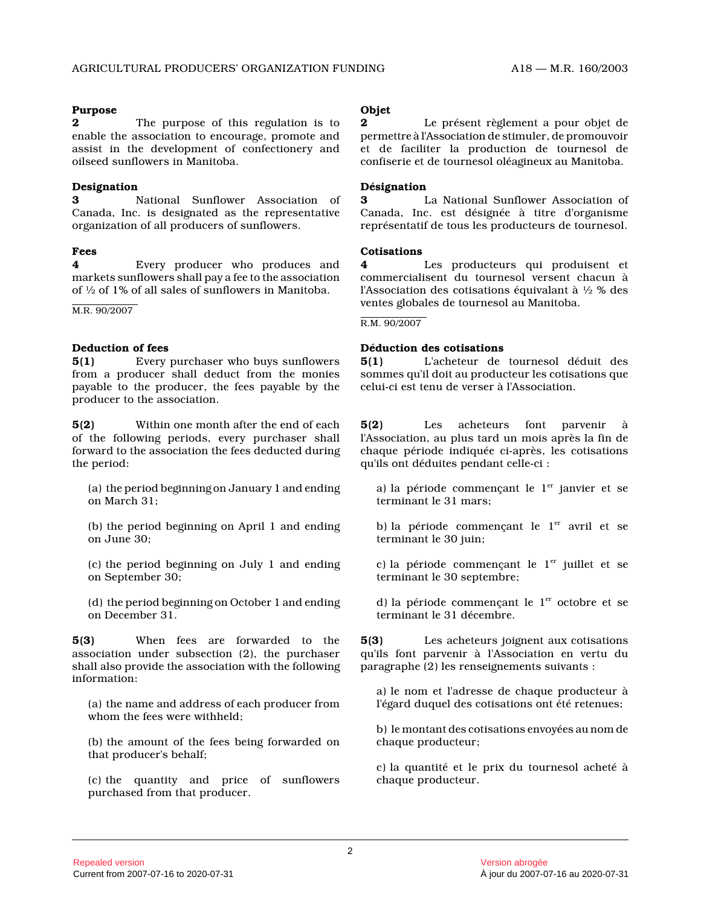### **Purpose**

**2** The purpose of this regulation is to enable the association to encourage, promote and assist in the development of confectionery and oilseed sunflowers in Manitoba.

### **Designation**

**3** National Sunflower Association of Canada, Inc. is designated as the representative organization of all producers of sunflowers.

#### **Fees**

**4** Every producer who produces and markets sunflowers shall pay a fee to the association of ½ of 1% of all sales of sunflowers in Manitoba.

M.R. 90/2007

# **Deduction of fees**

**5(1)** Every purchaser who buys sunflowers from a producer shall deduct from the monies payable to the producer, the fees payable by the producer to the association.

**5(2)** Within one month after the end of each of the following periods, every purchaser shall forward to the association the fees deducted during the period:

- (a) the period beginning on January 1 and ending on March 31;
- (b) the period beginning on April 1 and ending on June 30;
- (c) the period beginning on July 1 and ending on September 30;
- (d) the period beginning on October 1 and ending on December 31.

**5(3)** When fees are forwarded to the association under subsection (2), the purchaser shall also provide the association with the following information:

(a) the name and address of each producer from whom the fees were withheld;

(b) the amount of the fees being forwarded on that producer's behalf;

(c) the quantity and price of sunflowers purchased from that producer.

# **Objet**

**2** Le présent règlement a pour objet de permettre à l'Association de stimuler, de promouvoi r et de faciliter la production de tournesol de confiserie et de tournesol oléagineux au Manitoba.

### **Désignation**

**3** La National Sunflower Association of Canada, Inc. est désignée à titre d'organisme représentatif de tous les producteurs de tournesol.

#### **Cotisations**

**4** Les producteurs qui produisent et commercialisent du tournesol versent chacun à l'Association des cotisations équivalant à ½ % des ventes globales de tournesol au Manitoba.

R.M. 90/2007

# **Déduction des cotisations**

**5(1)** L'acheteur de tournesol déduit des sommes qu'il doit au producteur les cotisations que celui-ci est tenu de verser à l'Association.

**5(2)** Les acheteurs font parvenir à l'Association, au plus tard un mois après la fin de chaque période indiquée ci-après, les cotisations qu'ils ont déduites pendant celle-ci :

a) la période commençant le  $1<sup>er</sup>$  janvier et se terminant le 31 mars;

b) la période commençant le  $1<sup>er</sup>$  avril et se terminant le 30 juin;

c) la période commençant le  $1<sup>er</sup>$  juillet et se terminant le 30 septembre;

d) la période commençant le  $1<sup>er</sup>$  octobre et se terminant le 31 décembre.

**5(3)** Les acheteurs joignent aux cotisations qu'ils font parvenir à l'Association en vertu du paragraphe (2) les renseignements suivants :

a) le nom et l'adresse de chaque producteur à l'égard duquel des cotisations ont été retenues;

b) le montant des cotisations envoyées au nom de chaque producteur;

c) la quantité et le prix du tournesol acheté à chaque producteur.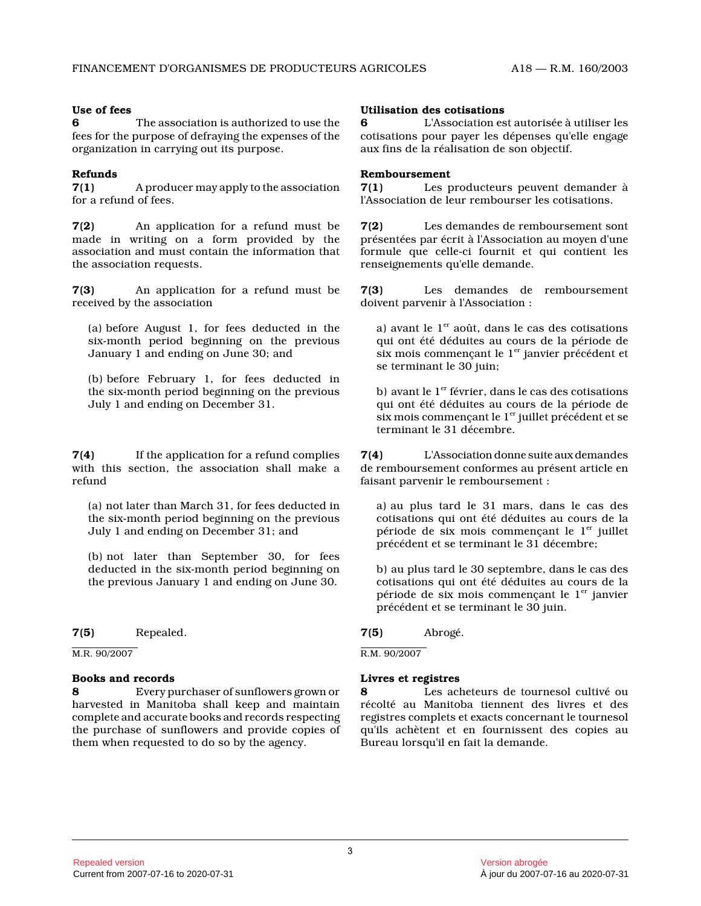#### **Use of fees**

**6** The association is authorized to use the fees for the purpose of defraying the expenses of the organization in carrying out its purpose.

### **Refunds**

**7(1)** A producer may apply to the association for a refund of fees.

**7(2)** An application for a refund must be made in writing on a form provided by the association and must contain the information that the association requests.

**7(3)** An application for a refund must be received by the association

(a) before August 1, for fees deducted in the six-month period beginning on the previous January 1 and ending on June 30; and

(b) before February 1, for fees deducted in the six-month period beginning on the previous July 1 and ending on December 31.

**7(4)** If the application for a refund complies with this section, the association shall make a refund

(a) not later than March 31, for fees deducted in the six-month period beginning on the previous July 1 and ending on December 31; and

(b) not later than September 30, for fees deducted in the six-month period beginning on the previous January 1 and ending on June 30.

**7(5)** Repealed.

M.R. 90/2007

#### **Books and records**

**8** Every purchaser of sunflowers grown or harvested in Manitoba shall keep and maintain complete and accurate books and records respecting the purchase of sunflowers and provide copies of them when requested to do so by the agency.

## **Utilisation des cotisations**

**6** L'Association est autorisée à utiliser les cotisations pour payer les dépenses qu'elle engage aux fins de la réalisation de son objectif.

#### **Remboursement**

**7(1)** Les producteurs peuvent demander à l'Association de leur rembourser les cotisations.

**7(2)** Les demandes de remboursement sont présentées par écrit à l'Association au moyen d'une formule que celle-ci fournit et qui contient les renseignements qu'elle demande.

**7(3)** Les demandes de remboursement doivent parvenir à l'Association :

a) avant le  $1<sup>er</sup>$  août, dans le cas des cotisations qui ont été déduites au cours de la période de six mois commençant le  $1<sup>er</sup>$  janvier précédent et se terminant le 30 juin;

b) avant le  $1^{\mathrm{er}}$  février, dans le cas des cotisations qui ont été déduites au cours de la période de six mois commençant le  $1<sup>er</sup>$  juillet précédent et se terminant le 31 décembre.

**7(4)** L'Association donne suite aux demandes de remboursement conformes au présent article en faisant parvenir le remboursement :

a) au plus tard le 31 mars, dans le cas des cotisations qui ont été déduites au cours de la période de six mois commençant le  $1<sup>er</sup>$  juillet précédent et se terminant le 31 décembre;

b) au plus tard le 30 septembre, dans le cas des cotisations qui ont été déduites au cours de la période de six mois commençant le  $1<sup>er</sup>$  janvier précédent et se terminant le 30 juin.

# **7(5)** Abrogé.

R.M. 90/2007

# **Livres et registres**

**8** Les acheteurs de tournesol cultivé ou récolté au Manitoba tiennent des livres et des registres complets et exacts concernant le tourneso l qu'ils achètent et en fournissent des copies au Bureau lorsqu'il en fait la demande.